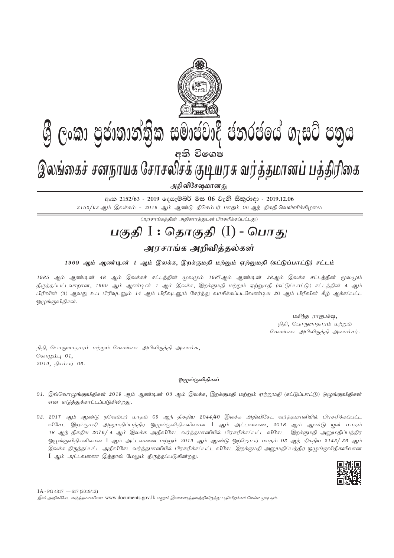

අංක 2152/63 - 2019 ලෙසැම්බර් මස 06 වැනි සිකුරාදා - 2019.12.06  $2152/63$  ஆம் இலக்கம் -  $2019$  ஆம் ஆண்டு திசெம்பர் மாதம் 06 ஆந் திகதி வெள்ளிக்கிழமை

 $\overline{(\mathcal{A}^{\eta}\mathcal{A}^{\eta}\mathcal{A}^{\eta}\mathcal{A}^{\eta})}$ ன் பிரசுரிக்கப்பட்டது)

# <u>பகுதி</u> I : தொகுதி (I) - பொது

## அரசாங்க அறிவித்தல்கள்

### 1969 ஆம் ஆண்டின் 1 ஆம் இலக்க, இறக்குமதி மற்றும் ஏற்றுமதி (கட்டுப்பாட்டு) சட்டம்

1985 ஆம் ஆண்டின் 48 ஆம் இலக்கச் சட்டத்தின் மூலமும் 1987ஆம் ஆண்டின் 28ஆம் இலக்க சட்டத்தின் மூலமும் திருத்தப்பட்டவாறான, 1969 ஆம் ஆண்டின் 1 ஆம் இலக்க, இறக்குமதி மற்றும் ஏற்றுமதி (கட்டுப்பாட்டு) சட்டத்தின் 4 ஆம் பிரிவின் (3) ஆவது உப பிரிவுடனும் 14 ஆம் பிரிவுடனும் சேர்த்து வாசிக்கப்படவேண்டிய 20 ஆம் பிரிவின் கீழ் ஆக்கப்பட்ட ஒழுங்குவிதிகள்.

> மகிந்த ராஜபக்ஷ, நிதி, பொருளாதாரம் மற்றும் கொள்கை அபிவிருத்தி அமைச்சர்.

நிதி, பொருளாதாரம் மற்றும் கொள்கை அபிவிருத்தி அமைச்சு, சொழும்பு $01$ ,  $2019,$  திசம்பர் 06.

### ஒழுங்குவிதிகள்

- 01. இவ்வொழுங்குவிதிகள் 2019 ஆம் ஆண்டின் 03 ஆம் இலக்க, இறக்குமதி மற்றும் ஏற்றுமதி (கட்டுப்பாட்டு) ஒழுங்குவிதிகள் என எடுத்துக்காட்டப்படுகின்றது.
- 02. 2017 ஆம் ஆண்டு நவெம்பர் மாதம் 09 ஆந் திகதிய 2044/40 இலக்க அதிவிசேட வர்த்தமானியில் பிரசுரிக்கப்பட்ட விசேட இறக்குமதி அனுமதிப்பத்திர ஒழுங்குவிதிகளிலான I ஆம் அட்டவணை, 2018 ஆம் ஆண்டு யூன் மாதம் 18 ஆந் திகதிய 2076/ 4 ஆம் இலக்க அதிவிசேட வர்த்தமானியில் பிரசுரிக்கப்பட்ட விசேட இறக்குமதி அனுமதிப்பத்திர ஒமுங்குவிதிகளிலான  ${\rm I}$  ஆம் அட்டவணை மற்றும் 2019 ஆம் ஆண்டு ஒற்றோபர் மாதம் 03 ஆந் திகதிய 2143/ 36 ஆம் ,<br>இலக்க கிருக்கப்பட்ட அதிவிசேட வர்க்குமானியில் பிரசுரிக்கப்பட்ட விசேட இறக்குமதி அனுமதிப்பத்திர ஒழுங்குவிதிகளிலான  $I$  ஆம் அட்டவணை இத்தால் மேலும் திருத்தப்படுகின்றது.



 $1A - PG 4817 - 617 (2019/12)$ 

இவ் அதிவிசேட வர்த்தமானியை www.documents.gov.lk எனும் இணையத்தளத்திலிருந்து பதிவிறக்கம் செய்ய முடியும்.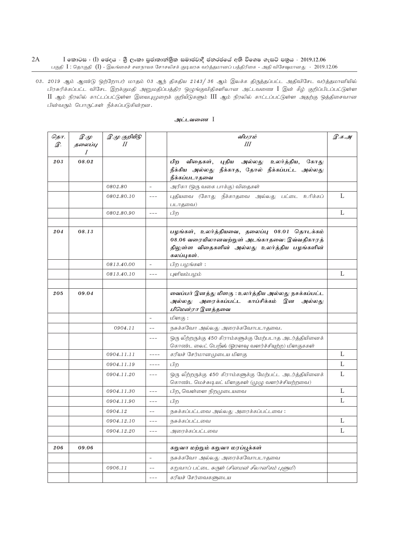$2A$  $I$  කොටස $I$  ( $I$ ) ඡෙදය - ශුී ලංකා පුජාතාන්තික සමාජවාදී ජනරජයේ අති විශෙෂ ගැසට් පතුය - 2019.12.06 பகுதி  $I$  : தொகுதி  $(I)$  - இலங்கைச் சனநாயக சோசலிசக் குடியரசு வர்த்தமானப் பத்திரிகை - அதி விசேஷமானது - 2019.12.06

03. 2019 ஆம் ஆண்டு ஒற்றோபர் மாதம் 03 ஆந் திகதிய 2143/ 36 ஆம் இலக்க திருத்தப்பட்ட அதிவிசேட வர்த்தமானியில் பிரசுரிக்கப்பட்ட விசேட இறக்குமதி அனுமதிப்பத்திர ஒழுங்குவிதிகளிலான அட்டவணை I இன் கீழ் குறிப்பிடப்பட்டுள்ள  $\rm{II}$  ஆம் நிரலில் காட்டப்பட்டுள்ள இயைபுமுறைக் குறியீடுகளும்  $\rm{III}$  ஆம் நிரலில் காட்டப்பட்டுள்ள அதற்கு ஒத்திசைவான பின்வரும் பொருட்கள் நீக்கப்படுகின்றன.

| தொ. | $\mathscr{D} \mathscr{L}$ | இ.மு குறியீடு<br>II |                          | விபரம்                                                                                                                                                     |              |
|-----|---------------------------|---------------------|--------------------------|------------------------------------------------------------------------------------------------------------------------------------------------------------|--------------|
| இ.  | தலைப்பு<br>I              |                     |                          | Ш                                                                                                                                                          |              |
| 203 | 08.02                     |                     |                          | புதிய<br>உலர்த்திய, கோது<br>பிற<br>விதைகள்,<br>அல்லது<br>நீக்கிய அல்லது நீக்காத, தோல் நீக்கப்பட்ட அல்லது<br>நீக்கப்படாதவை                                  |              |
|     |                           | 0802.80             | $\equiv$                 | அரிகா (ஒரு வகை பாக்கு) விதைகள்                                                                                                                             |              |
|     |                           | 0802.80.10          | $- - -$                  | புதியவை (கோது நீக்காதவை அல்லது பட்டை உரிக்கப்<br>படாதவை)                                                                                                   | L            |
|     |                           | 0802.80.90          | $---$                    | பிற                                                                                                                                                        | L            |
|     |                           |                     |                          |                                                                                                                                                            |              |
| 204 | 08.13                     |                     |                          | பழங்கள், உலர்த்தியவை, தலைப்பு 08.01 தொடக்கம்<br>08.06 வரையிலானவற்றுள் அடங்காதவை: இவ்வதிகாரத்<br>திலுள்ள விதைகளின் அல்லது உலர்த்திய பழங்களின்<br>கலப்புகள். |              |
|     |                           | 0813.40.00          | $\sim$                   | பிற பழங்கள்:                                                                                                                                               |              |
|     |                           | 0813.40.10          | $---$                    | புளியம்பழம்                                                                                                                                                | L            |
|     |                           |                     |                          |                                                                                                                                                            |              |
| 205 | 09.04                     |                     |                          | வைப்பர் இனத்து மிளகு : உலர்த்திய அல்லது நசுக்கப்பட்ட<br>அரைக்கப்பட்ட காப்சிக்கம் இன<br>அல்லது<br>அல்லது<br>பிமென்ரா இனத்தவை                                |              |
|     |                           |                     | $\bar{a}$                | மிளகு :                                                                                                                                                    |              |
|     |                           | 0904.11             | $- -$                    | நசுக்கவோ அல்லது அரைக்கவோபடாதவை.                                                                                                                            |              |
|     |                           |                     | $- - -$                  | ஒரு லீற்றருக்கு 450 கிராம்களுக்கு மேற்படாத அடர்த்தியினைக்<br>கொண்ட லைட் பெறீஸ் (ஓரளவு வளர்ச்சியுற்ற) மிளகுககள்                                             |              |
|     |                           | 0904.11.11          | ----                     | கரியச் சேர்மானமுடைய மிளகு                                                                                                                                  | L            |
|     |                           | 0904.11.19          | $- - - -$                | பிற                                                                                                                                                        | L            |
|     |                           | 0904.11.20          | $- - -$                  | ஒரு லீற்றருக்கு 450 கிராம்களுக்கு மேற்பட்ட அடர்த்தியினைக்<br>கொண்ட மெச்சுடியட் மிளகுகள் (முழு வளர்ச்சியற்றவை)                                              | L            |
|     |                           | 0904.11.30          | $- - -$                  | பிற, வெள்ளை நிறமுடையவை                                                                                                                                     | L            |
|     |                           | 0904.11.90          | $- - -$                  | பிற                                                                                                                                                        | L            |
|     |                           | 0904.12             | $- -$                    | நசுக்கப்பட்டவை அல்லது அரைக்கப்பட்டவை :                                                                                                                     |              |
|     |                           | 0904.12.10          | $---$                    | ருசுக்கப்பட்டவை                                                                                                                                            | L            |
|     |                           | 0904.12.20          | $---$                    | அரைக்கப்பட்டவை                                                                                                                                             | $\mathbf{L}$ |
| 206 | 09.06                     |                     |                          | கறுவா மற்றும் கறுவா மரப்பூக்கள்                                                                                                                            |              |
|     |                           |                     | $\overline{\phantom{a}}$ | நசுக்கவோ அல்லது அரைக்கவோபடாதவை                                                                                                                             |              |
|     |                           | 0906.11             | $- -$                    | கறுவாப் பட்டை சுருள் ( <i>சினமன் சீலானிகம் புளுமி</i> )                                                                                                    |              |
|     |                           |                     | $---$                    | கரியச் சேர்வைகளுடைய                                                                                                                                        |              |
|     |                           |                     |                          |                                                                                                                                                            |              |

#### அட்டவணை I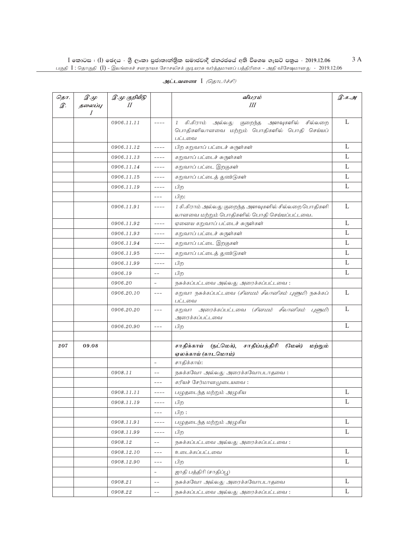$\rm I$  කොටස : ( $\rm I$ ) ඡෙදය - ශුී ලංකා පුජාතාන්තිුක සමාජවාදී ජනරජයේ අති විශෙෂ ගැසට් පතුය - 2019.12.06 பகுதி  $\,$  I : தொகுதி  $\,$  ( $\rm{J})$  - இலங்கைச் சனநாயக சோசலிசக் குடியரசு வர்த்தமானப் பத்திரிகை - அதி விசேஷமானது -  $\,$  2019.12.06

| தொ.<br>இ. | $\mathscr{D}.\mathscr{L}$<br>தலைப்பு<br>$\overline{I}$ | இ.மு குறியீடு<br>$\boldsymbol{\mathit{II}}$ |                          | விபரம்<br>III                                                                                                                    | இ.க.அ |
|-----------|--------------------------------------------------------|---------------------------------------------|--------------------------|----------------------------------------------------------------------------------------------------------------------------------|-------|
|           |                                                        | 0906.11.11                                  | $- - - -$                | கி.கிராம்<br>அளவுகளில்<br>சில்லறை<br>$\mathcal{I}$<br>அல்லது<br>குறைந்த<br>பொதிகளிலானவை மற்றும் பொதிகளில் பொதி செய்யப்<br>பட்டவை | L     |
|           |                                                        | 0906.11.12                                  | $- - - -$                | பிற கறுவாப் பட்டைச் சுருள்கள்                                                                                                    | L     |
|           |                                                        | 0906.11.13                                  | ----                     | கறுவாப் பட்டைச் சுருள்கள்                                                                                                        | L     |
|           |                                                        | 0906.11.14                                  | $- - - -$                | கறுவாப் பட்டை இறகுகள்                                                                                                            | L     |
|           |                                                        | 0906.11.15                                  | ----                     | கறுவாப் பட்டைத் துண்டுகள்                                                                                                        | L     |
|           |                                                        | 0906.11.19                                  | $- - - -$                | பிற                                                                                                                              | L     |
|           |                                                        |                                             | $- - -$                  | பிற:                                                                                                                             |       |
|           |                                                        | 0906.11.91                                  | ----                     | 1 கி.கிராம் அல்லது குறைந்த அளவுகளில் சில்லறை பொதிகளி<br>லானவை மற்றும் பொதிகளில் பொதி செய்யப்பட்டவை.                              | L     |
|           |                                                        | 0906.11.92                                  | $- - - -$                | ஏனைய கறுவாப் பட்டைச் சுருள்கள்                                                                                                   | L     |
|           |                                                        | 0906.11.93                                  | ----                     | கறுவாப் பட்டைச் சுருள்கள்                                                                                                        | L     |
|           |                                                        | 0906.11.94                                  | $- - - -$                | கறுவாப் பட்டை இறகுகள்                                                                                                            | L     |
|           |                                                        | 0906.11.95                                  | ----                     | கறுவாப் பட்டைத் துண்டுகள்                                                                                                        | L     |
|           |                                                        | 0906.11.99                                  | $- - - -$                | பிற                                                                                                                              | L     |
|           |                                                        | 0906.19                                     | $-$                      | பிற                                                                                                                              | L     |
|           |                                                        | 0906.20                                     | $\overline{\phantom{a}}$ | நசுக்கப்பட்டவை அல்லது அரைக்கப்பட்டவை:                                                                                            |       |
|           |                                                        | 0906.20.10                                  | $- - -$                  | கறுவா நசுக்கப்பட்டவை <i>(சினமம் சீலானிகம் புளுமி</i> ) நசுக்கப்<br>பட்டவை                                                        | L     |
|           |                                                        | 0906.20.20                                  | $---$                    | அரைக்கப்பட்டவை (சினமம் சீலானிகம் புளுமி)<br>கறுவா<br>அரைக்கப்பட்டவை                                                              | L     |
|           |                                                        | 0906.20.90                                  | $- - -$                  | பிற                                                                                                                              | L     |
|           |                                                        |                                             |                          |                                                                                                                                  |       |
| 207       | 09.08                                                  |                                             |                          | சாதிக்காய்<br>(நட்மெக்),<br>சாதிப்பத்திரி<br>(மேஸ்)<br>மற்றும்<br>ஏலக்காய் (காடமொம்)                                             |       |
|           |                                                        |                                             | $\overline{\phantom{a}}$ | சாதிக்காய்:                                                                                                                      |       |
|           |                                                        | 0908.11                                     | $-$                      | நசுக்கவோ அல்லது அரைக்கவோபடாதவை:                                                                                                  |       |
|           |                                                        |                                             | $---$                    | கரியச் சேர்மானமுடையவை:                                                                                                           |       |
|           |                                                        | 0908.11.11                                  | ----                     | பழுதடைந்த மற்றும் அழுகிய                                                                                                         | L     |
|           |                                                        | 0908.11.19                                  | $- - - -$                | பிற                                                                                                                              | L     |
|           |                                                        |                                             | $- - -$                  | பிற :                                                                                                                            |       |
|           |                                                        | 0908.11.91                                  | $- - - -$                | பழுதடைந்த மற்றும் அழுகிய                                                                                                         | L     |
|           |                                                        | 0908.11.99                                  | $- - - -$                | பிற                                                                                                                              | L     |
|           |                                                        | 0908.12                                     | $- -$                    | நசுக்கப்பட்டவை அல்லது அரைக்கப்பட்டவை:                                                                                            |       |
|           |                                                        | 0908.12.10                                  | $---$                    | உடைக்கப்பட்டவை                                                                                                                   | L     |
|           |                                                        | 0908.12.90                                  | $---$                    | பிற                                                                                                                              | L     |
|           |                                                        |                                             | $\overline{\phantom{0}}$ | ஜாதி பத்திரி (சாதிப்பூ)                                                                                                          |       |
|           |                                                        | 0908.21                                     | $- -$                    | நசுக்கவோ அல்லது அரைக்கவோபடாதவை                                                                                                   | L     |
|           |                                                        | 0908.22                                     | $-$                      | நசுக்கப்பட்டவை அல்லது அரைக்கப்பட்டவை:                                                                                            | L     |

**அட்டவணை** I *(தொடர்ச்சி)* 

3 A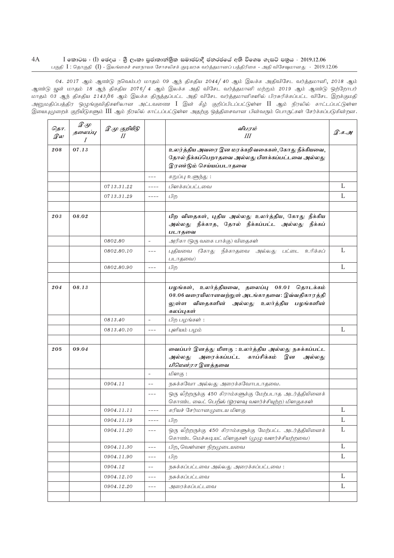#### 4A I කොටස : (I) ඡෙදය - ශුී ලංකා පුජාතාන්තිුක සමාජවාදී ජනරජයේ අති විශෙෂ ගැසට් පතුය - 2019.12.06 பகுதி  $\Gamma$ : தொகுதி ( $\overline{\rm J}$  – இலங்கைச் சனநாயக சோசலிசக் குடியரசு வர்த்தமானப் பத்திரிகை - அதி விசேஷமானது - 2019.12.06

04. 2017 ஆம் ஆண்டு நவெம்பர் மாதம் 09 ஆந் திகதிய 2044/ 40 ஆம் இலக்க அதிவிசேட வர்த்தமானி, 2018 ஆம் ஆண்டு யூன் மாதம் 18 ஆந் திகதிய 2076/ 4 ஆம் இலக்க அதி விசேட வர்த்தமானி மற்றும் 2019 ஆம் ஆண்டு ஒற்றோபர் மாதம் 03 ஆந் திகதிய 2143/36 ஆம் இலக்க திருத்தப்பட்ட அதி விசேட வர்த்தமானிகளில் பிரசுரிக்கப்பட்ட விசேட இறக்குமதி அனுமதிப்பத்திர ஒழுங்குவிதிகளிலான அட்டவணை  $I$  இன் கீழ் குறிப்பிடப்பட்டுள்ள  $II$  ஆம் நிரலில் காட்டப்பட்டுள்ள இயைபுமுறைக் குறியீடுகளும் III ஆம் நிரலில் காட்டப்பட்டுள்ள அதற்கு ஒத்திசைவான பின்வரும் பொருட்கள் சேர்க்கப்படுகின்றன.

| தொ.<br>இல | $\mathscr{D} \mathscr{L}$<br>தலைப்பு<br>$\overline{I}$ | இ.மு குறியீடு |                          | விபரம்<br>Ш                                                                                                                                               | இ.க.அ        |
|-----------|--------------------------------------------------------|---------------|--------------------------|-----------------------------------------------------------------------------------------------------------------------------------------------------------|--------------|
| 208       | 07.13                                                  |               |                          | உலர்த்திய அவரை இன மரக்கறிவகைகள்,கோது நீக்கியவை,<br>தோல் நீக்கப்பெறாதவை அல்லது பிளக்கப்பட்டவை அல்லது<br>இரண்டும் செய்யப்படாதவை                             |              |
|           |                                                        |               | $- - -$                  | கறுப்பு உளுந்து :                                                                                                                                         |              |
|           |                                                        | 0713.31.22    | ----                     | பிளக்கப்பட்டவை                                                                                                                                            | L            |
|           |                                                        | 0713.31.29    | $- - - -$                | பிற                                                                                                                                                       | L            |
|           |                                                        |               |                          |                                                                                                                                                           |              |
| 203       | 08.02                                                  |               |                          | பிற விதைகள், புதிய அல்லது உலர்த்திய, கோது நீக்கிய<br>அல்லது நீக்காத, தோல் நீக்கப்பட்ட அல்லது<br>நீக்கப்<br>படாதவை                                         |              |
|           |                                                        | 0802.80       | $\overline{\phantom{a}}$ | அரிகா (ஒரு வகை பாக்கு) விதைகள்                                                                                                                            |              |
|           |                                                        | 0802.80.10    | $---$                    | (கோது நீக்காதவை அல்லது பட்டை உரிக்கப்<br>புகியவை<br>படாதவை)                                                                                               | L            |
|           |                                                        | 0802.80.90    | $---$                    | பிற                                                                                                                                                       | L            |
|           |                                                        |               |                          |                                                                                                                                                           |              |
| 204       | 08.13                                                  |               |                          | பழங்கள், உலர்த்தியவை, தலைப்பு 08.01 தொடக்கம்<br>08.06 வரையிலானவற்றுள் அடங்காதவை: இவ்வதிகாரத்தி<br>லுள்ள விதைகளின் அல்லது உலர்த்திய பழங்களின்<br>கலப்புகள் |              |
|           |                                                        | 0813.40       | $\sim$                   | பிற பழங்கள்:                                                                                                                                              |              |
|           |                                                        | 0813.40.10    | $- - -$                  | புளியம் பழம்                                                                                                                                              | L            |
|           |                                                        |               |                          |                                                                                                                                                           |              |
| 205       | 09.04                                                  |               |                          | வைப்பர் இனத்து மிளகு : உலர்த்திய அல்லது நசுக்கப்பட்ட<br>அரைக்கப்பட்ட காப்சிக்கம்<br>அல்லது<br>இன<br>அல்லது<br>பிமென்ரா இனத்தவை                            |              |
|           |                                                        |               |                          | மிளகு :                                                                                                                                                   |              |
|           |                                                        | 0904.11       | $\overline{\phantom{m}}$ | நசுக்கவோ அல்லது அரைக்கவோபடாதவை.                                                                                                                           |              |
|           |                                                        |               | $---$                    | ஒரு லீற்றருக்கு 450 கிராம்களுக்கு மேற்படாத அடர்த்தியினைக்<br>கொண்ட லைட் பெறீஸ் (ஓரளவு வளர்ச்சியுற்ற) மிளகுககள்                                            |              |
|           |                                                        | 0904.11.11    | $--- -$                  | கரியச் சேர்மானமுடைய மிளகு                                                                                                                                 | L            |
|           |                                                        | 0904.11.19    | $--- -$                  | பிற                                                                                                                                                       | L            |
|           |                                                        | 0904.11.20    | $\qquad \qquad - -$      | ஒரு லீற்றருக்கு 450 கிராம்களுக்கு மேற்பட்ட அடர்த்தியினைக்<br>கொண்ட மெச்சுடியட் மிளகுகள் (முழு வளர்ச்சியற்றவை)                                             | L            |
|           |                                                        | 0904.11.30    | $---$                    | பிற, வெள்ளை நிறமுுடையவை                                                                                                                                   | L            |
|           |                                                        | 0904.11.90    | $---$                    | பிற                                                                                                                                                       | $\mathbf{L}$ |
|           |                                                        | 0904.12       | $- \, -$                 | ருசுக்கப்பட்டவை அல்லது அரைக்கப்பட்டவை:                                                                                                                    |              |
|           |                                                        | 0904.12.10    | $---$                    | நசுக்கப்பட்டவை                                                                                                                                            | L            |
|           |                                                        | 0904.12.20    | $---$                    | அரைக்கப்பட்டவை                                                                                                                                            | L            |
|           |                                                        |               |                          |                                                                                                                                                           |              |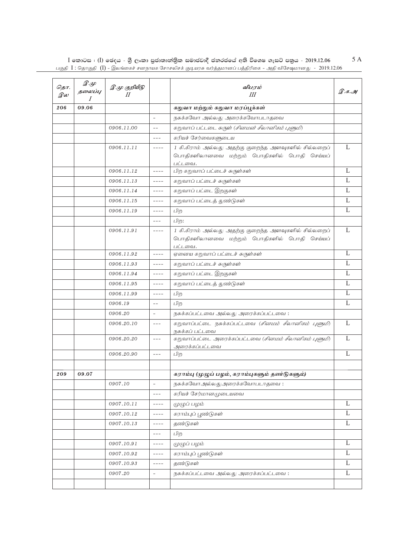$I$  කොටස : ( $I$ ) ඡෙදය - ශීු ලංකා පුජාතාන්තිුක සමාජවාදී ජනරජයේ අති විශෙෂ ගැසට් පතුය - 2019.12.06<br>பகுதி  $I$  : தொகுதி  $(I)$  - இலங்கைச் சனநாயக சோசலிசக் குடியரசு வர்த்தமானப் பத்திரிகை - அதி விசேஷமானது - 2019.12.06 5 A

| தொ.<br>இல | $\mathscr{D} \mathscr{L}$<br>தலைப்பு<br>I | இ.மு குறியீடு<br>$\mathcal{U}$ |                              | விபரம்<br>Ш                                                                                                     | இ.க.அ        |
|-----------|-------------------------------------------|--------------------------------|------------------------------|-----------------------------------------------------------------------------------------------------------------|--------------|
| 206       | 09.06                                     |                                |                              | கறுவா மற்றும் கறுவா மரப்பூக்கள்                                                                                 |              |
|           |                                           |                                | $\overline{\phantom{0}}$     | நசுக்கவோ அல்லது அரைக்கவோபடாதவை                                                                                  |              |
|           |                                           | 0906.11.00                     | $-$                          | கறுவாப் பட்டடை சுருள் <i>(சினமன் சீலானிகம் புளுமி</i> )                                                         |              |
|           |                                           |                                | $- - -$                      | கரியச் சேர்வைகளுடைய                                                                                             |              |
|           |                                           | 0906.11.11                     | ----                         | 1 கி.கிராம் அல்லது அதற்கு குறைந்த அளவுகளில் சில்லறைப்<br>பொதிகளிலானவை மற்றும் பொதிகளில் பொதி செய்யப்<br>பட்டவை. | L            |
|           |                                           | 0906.11.12                     | $- - - -$                    | பிற கறுவாப் பட்டைச் சுருள்கள்                                                                                   | L            |
|           |                                           | 0906.11.13                     |                              | கறுவாப் பட்டைச் சுருள்கள்                                                                                       | L            |
|           |                                           | 0906.11.14                     | ----                         | கறுவாப் பட்டை இறகுகள்                                                                                           | L            |
|           |                                           | 0906.11.15                     | ----                         | கறுவாப் பட்டைத் துண்டுகள்                                                                                       | L            |
|           |                                           | 0906.11.19                     | ----                         | பிற                                                                                                             | L            |
|           |                                           |                                | $- - -$                      | பிற:                                                                                                            |              |
|           |                                           | 0906.11.91                     | $- - - -$                    | 1 கி.கிராம் அல்லது அதற்கு குறைந்த அளவுகளில் சில்லறைப்<br>பொதிகளிலானவை மற்றும் பொதிகளில் பொதி செய்யப்<br>பட்டவை. | L            |
|           |                                           | 0906.11.92                     | $- - - -$                    | ஏனைய கறுவாப் பட்டைச் சுருள்கள்                                                                                  | L            |
|           |                                           | 0906.11.93                     | ----                         | கறுவாப் பட்டைச் சுருள்கள்                                                                                       | L            |
|           |                                           | 0906.11.94                     | $- - - -$                    | கறுவாப் பட்டை இறகுகள்                                                                                           | L            |
|           |                                           | 0906.11.95                     | ----                         | கறுவாப் பட்டைத் துண்டுகள்                                                                                       | L            |
|           |                                           | 0906.11.99                     | $- - - -$                    | பிற                                                                                                             | L            |
|           |                                           | 0906.19                        | $-$                          | பிற                                                                                                             | L            |
|           |                                           | 0906.20                        | $\equiv$                     | நசுக்கப்பட்டவை அல்லது அரைக்கப்பட்டவை:                                                                           |              |
|           |                                           | 0906.20.10                     | $---$                        | கறுவாப்பட்டை நசுக்கப்பட்டவை <i>(சினமம் சீலானிகம் புளுமி</i> )<br>நசுக்கப் பட்டவை                                | $\mathbf{L}$ |
|           |                                           | 0906.20.20                     | $- - -$                      | கறுவாப்பட்டை அரைக்கப்பட்டவை ( <i>சினமம் சீலானிகம் புளுமி</i> )<br>அரைக்கப்பட்டவை                                | L            |
|           |                                           | 0906.20.90                     | $- - -$                      | பிற                                                                                                             | L            |
| 209       | 09.07                                     |                                |                              | கராம்பு (முழுப் பழம், கராம்புகளும் தண்டுகளும்)                                                                  |              |
|           |                                           | 0907.10                        | $\qquad \qquad \blacksquare$ | நசுக்கவோஅல்லதுஅரைக்கவோபடாதவை :                                                                                  |              |
|           |                                           |                                | ---                          | கரியச் சேர்மானமுடையவை                                                                                           |              |
|           |                                           | 0907.10.11                     | ----                         | முழுப் பழம்                                                                                                     | L            |
|           |                                           | 0907.10.12                     | ----                         | கராம்புப் பூண்டுகள்                                                                                             | L            |
|           |                                           | 0907.10.13                     | ----                         | தண்டுகள்                                                                                                        | L            |
|           |                                           |                                | $---$                        | பிற                                                                                                             |              |
|           |                                           | 0907.10.91                     | ----                         | முழுப் பழம்                                                                                                     | L            |
|           |                                           | 0907.10.92                     | ----                         | கராம்புப் பூண்டுகள்                                                                                             | L            |
|           |                                           | 0907.10.93                     | ----                         | தண்டுகள்                                                                                                        | L            |
|           |                                           | 0907.20                        | $\overline{\phantom{0}}$     | நசுக்கப்பட்டவை அல்லது அரைக்கப்பட்டவை:                                                                           | L            |
|           |                                           |                                |                              |                                                                                                                 |              |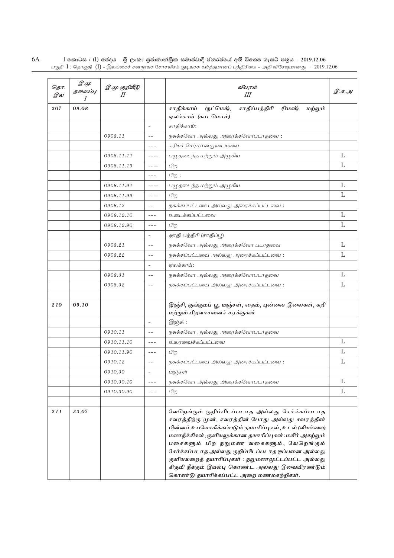$6\mathrm{A}$   $\qquad$   $\rm{I}$  කොටස $\,$   $\,$  ( $\rm{I})$  ජෙදය - ශුී ලංකා පුජාතාන්තික සමාජවාදී ජනරජයේ අති විශෙෂ ගැසට් පතුය - 2019.12.06 பகுதி  $\,$  I : தொகுதி  $\,$  ( $\rm{J})$  - இலங்கைச் சனநாயக சோசலிசக் குடியரசு வர்த்தமானப் பத்திரிகை - அதி விசேஷமானது -  $\,$  2019.12.06

| தொ.<br>இல | $\mathscr{D} \mathscr{L}$<br>தலைப்பு<br>I | இ.மு குறியீடு<br>II |                          | விபரம்<br>Ш                                                                                                                                                                                                                                                                                                                                                                                                                                                                 | இ.க.அ       |
|-----------|-------------------------------------------|---------------------|--------------------------|-----------------------------------------------------------------------------------------------------------------------------------------------------------------------------------------------------------------------------------------------------------------------------------------------------------------------------------------------------------------------------------------------------------------------------------------------------------------------------|-------------|
| 207       | 09.08                                     |                     |                          | சாதிப்பத்திரி<br>சாதிக்காய்<br>(நட்மெக்),<br>(மேஸ்)<br>மற்றும்<br>ஏலக்காய் (காடமொம்)                                                                                                                                                                                                                                                                                                                                                                                        |             |
|           |                                           |                     | $\bar{a}$                | சாதிக்காய்:                                                                                                                                                                                                                                                                                                                                                                                                                                                                 |             |
|           |                                           | 0908.11             | $- -$                    | நசுக்கவோ அல்லது அரைக்கவோபடாதவை :                                                                                                                                                                                                                                                                                                                                                                                                                                            |             |
|           |                                           |                     | $---$                    | கரியச் சேர்மானமுடையவை                                                                                                                                                                                                                                                                                                                                                                                                                                                       |             |
|           |                                           | 0908.11.11          | $- - - -$                | பழுதடைந்த மற்றும் அழுகிய                                                                                                                                                                                                                                                                                                                                                                                                                                                    | L           |
|           |                                           | 0908.11.19          | $- - - -$                | பிற                                                                                                                                                                                                                                                                                                                                                                                                                                                                         | L           |
|           |                                           |                     | $---$                    | பிற :                                                                                                                                                                                                                                                                                                                                                                                                                                                                       |             |
|           |                                           | 0908.11.91          | $- - - -$                | பழுதடைந்த மற்றும் அழுகிய                                                                                                                                                                                                                                                                                                                                                                                                                                                    | L           |
|           |                                           | 0908.11.99          | $- - - -$                | பிற                                                                                                                                                                                                                                                                                                                                                                                                                                                                         | L           |
|           |                                           | 0908.12             | $- -$                    | நசுக்கப்பட்டவை அல்லது அரைக்கப்பட்டவை:                                                                                                                                                                                                                                                                                                                                                                                                                                       |             |
|           |                                           | 0908.12.10          | $---$                    | உடைக்கப்பட்டவை                                                                                                                                                                                                                                                                                                                                                                                                                                                              | L           |
|           |                                           | 0908.12.90          | $---$                    | பிற                                                                                                                                                                                                                                                                                                                                                                                                                                                                         | L           |
|           |                                           |                     | $\overline{\phantom{a}}$ | ஜாதி பத்திரி (சாதிப்பூ)                                                                                                                                                                                                                                                                                                                                                                                                                                                     |             |
|           |                                           | 0908.21             | $- -$                    | நசுக்கவோ அல்லது அரைக்கவோ படாதவை                                                                                                                                                                                                                                                                                                                                                                                                                                             | L           |
|           |                                           | 0908.22             | $ -$                     | நசுக்கப்பட்டவை அல்லது அரைக்கப்பட்டவை:                                                                                                                                                                                                                                                                                                                                                                                                                                       | L           |
|           |                                           |                     | $\overline{\phantom{a}}$ | ஏலக்காய்:                                                                                                                                                                                                                                                                                                                                                                                                                                                                   |             |
|           |                                           | 0908.31             | $ -$                     | நசுக்கவோ அல்லது அரைக்கவோபடாதவை                                                                                                                                                                                                                                                                                                                                                                                                                                              | L           |
|           |                                           | 0908.32             | $ -$                     | நசுக்கப்பட்டவை அல்லது அரைக்கப்பட்டவை:                                                                                                                                                                                                                                                                                                                                                                                                                                       | L           |
| 210       | 09.10                                     |                     |                          | இஞ்சி, குங்குமப் பூ, மஞ்சள், தைம், புன்னை இலைகள், கறி<br>மற்றும் பிறவாசனைச் சரக்குகள்                                                                                                                                                                                                                                                                                                                                                                                       |             |
|           |                                           |                     | $\overline{\phantom{a}}$ | இஞ்சி:                                                                                                                                                                                                                                                                                                                                                                                                                                                                      |             |
|           |                                           | 0910.11             | $ -$                     | நசுக்கவோ அல்லது அரைக்கவோபடாதவை                                                                                                                                                                                                                                                                                                                                                                                                                                              |             |
|           |                                           | 0910.11.10          | $---$                    | உலரவைக்கப்பட்டவை                                                                                                                                                                                                                                                                                                                                                                                                                                                            | L           |
|           |                                           | 0910.11.90          | $---$                    | பிற                                                                                                                                                                                                                                                                                                                                                                                                                                                                         | L           |
|           |                                           | 0910.12             |                          | நசுக்கப்பட்டவை அல்லது அரைக்கப்பட்டவை:                                                                                                                                                                                                                                                                                                                                                                                                                                       | L           |
|           |                                           | 0910.30             |                          | மஞ்சள்                                                                                                                                                                                                                                                                                                                                                                                                                                                                      |             |
|           |                                           | 0910.30.10          | $\frac{1}{2}$            | நசுக்கவோ அல்லது அரைக்கவோபடாதவை                                                                                                                                                                                                                                                                                                                                                                                                                                              | $\mathbf L$ |
|           |                                           | 0910.30.90          | $- - -$                  | பிற                                                                                                                                                                                                                                                                                                                                                                                                                                                                         | L           |
| 211       | 33.07                                     |                     |                          | வேறெங்கும் குறிப்பிடப்படாத அல்லது சேர்க்கப்படாத<br>சவரத்திற்கு முன், சவரத்தின் போது அல்லது சவரத்தின்<br>பின்னர் உபயோகிக்கப்படும் தயாரிப்புகள், உடல் (வியர்வை)<br>மணநீக்கிகள், குளியலுக்கான தயாரிப்புகள்: மயிர் அகற்றும்<br>பசைகளும் பிற நறுமண வகைகளும், வேறெங்கும்<br>சேர்க்கப்படாத அல்லது குறிப்பிடப்படாத ஒப்பனை அல்லது<br>குளியலறைத் தயாரிப்புகள் : நறுமணமுட்டப்பட்ட அல்லது<br>கிருமி நீக்கும் இயல்பு கொண்ட அல்லது இவையிரண்டும்<br>கொண்டு தயாரிக்கப்பட்ட அறை மணமகற்றிகள். |             |